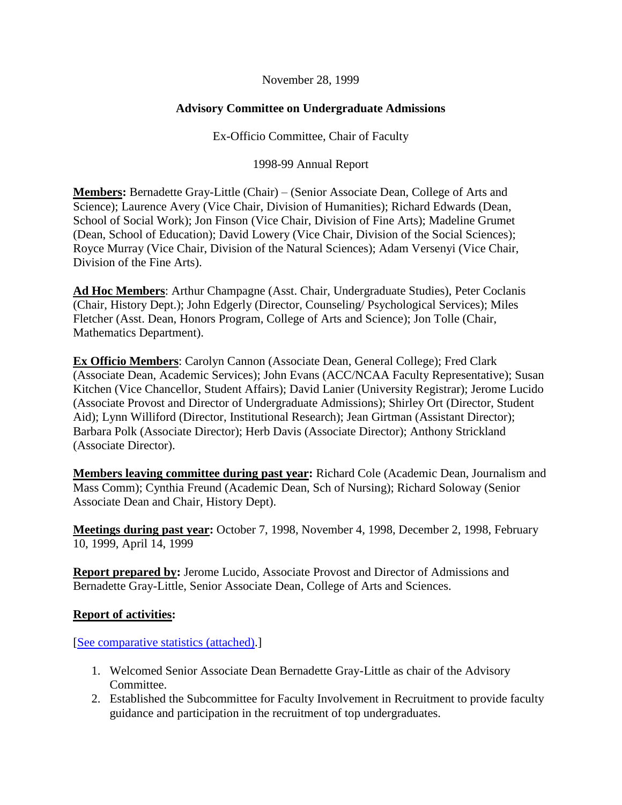## November 28, 1999

## **Advisory Committee on Undergraduate Admissions**

Ex-Officio Committee, Chair of Faculty

1998-99 Annual Report

**Members:** Bernadette Gray-Little (Chair) – (Senior Associate Dean, College of Arts and Science); Laurence Avery (Vice Chair, Division of Humanities); Richard Edwards (Dean, School of Social Work); Jon Finson (Vice Chair, Division of Fine Arts); Madeline Grumet (Dean, School of Education); David Lowery (Vice Chair, Division of the Social Sciences); Royce Murray (Vice Chair, Division of the Natural Sciences); Adam Versenyi (Vice Chair, Division of the Fine Arts).

**Ad Hoc Members**: Arthur Champagne (Asst. Chair, Undergraduate Studies), Peter Coclanis (Chair, History Dept.); John Edgerly (Director, Counseling/ Psychological Services); Miles Fletcher (Asst. Dean, Honors Program, College of Arts and Science); Jon Tolle (Chair, Mathematics Department).

**Ex Officio Members**: Carolyn Cannon (Associate Dean, General College); Fred Clark (Associate Dean, Academic Services); John Evans (ACC/NCAA Faculty Representative); Susan Kitchen (Vice Chancellor, Student Affairs); David Lanier (University Registrar); Jerome Lucido (Associate Provost and Director of Undergraduate Admissions); Shirley Ort (Director, Student Aid); Lynn Williford (Director, Institutional Research); Jean Girtman (Assistant Director); Barbara Polk (Associate Director); Herb Davis (Associate Director); Anthony Strickland (Associate Director).

**Members leaving committee during past year:** Richard Cole (Academic Dean, Journalism and Mass Comm); Cynthia Freund (Academic Dean, Sch of Nursing); Richard Soloway (Senior Associate Dean and Chair, History Dept).

**Meetings during past year:** October 7, 1998, November 4, 1998, December 2, 1998, February 10, 1999, April 14, 1999

**Report prepared by:** Jerome Lucido, Associate Provost and Director of Admissions and Bernadette Gray-Little, Senior Associate Dean, College of Arts and Sciences.

## **Report of activities:**

[\[See comparative statistics \(attached\).](http://www.unc.edu/faculty/faccoun/reports/1999-00/R99ADM2b.pdf)]

- 1. Welcomed Senior Associate Dean Bernadette Gray-Little as chair of the Advisory Committee.
- 2. Established the Subcommittee for Faculty Involvement in Recruitment to provide faculty guidance and participation in the recruitment of top undergraduates.